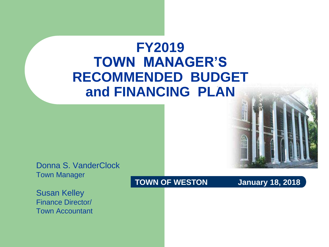#### **FY2019 TOWN MANAGER'S RECOMMENDED BUDGET and FINANCING PLAN**

Donna S. VanderClock Town Manager

Susan Kelley Finance Director/ Town Accountant

#### **TOWN OF WESTON January 18, 2018**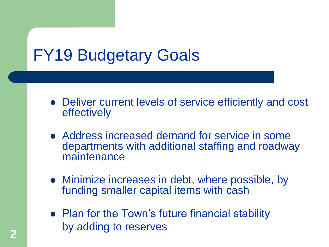## FY19 Budgetary Goals

- Deliver current levels of service efficiently and cost effectively
- Address increased demand for service in some departments with additional staffing and roadway maintenance
- Minimize increases in debt, where possible, by funding smaller capital items with cash
- Plan for the Town's future financial stability by adding to reserves **<sup>2</sup>**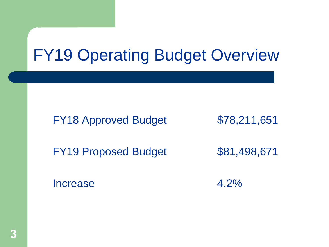### FY19 Operating Budget Overview

FY18 Approved Budget \$78,211,651

FY19 Proposed Budget \$81,498,671

Increase 4.2%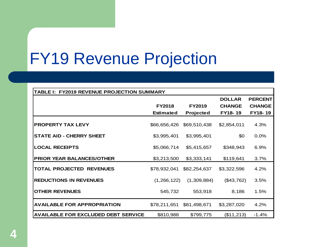### FY19 Revenue Projection

| TABLE I: FY2019 REVENUE PROJECTION SUMMARY |                  |               |               |                |  |  |  |
|--------------------------------------------|------------------|---------------|---------------|----------------|--|--|--|
|                                            |                  |               | <b>DOLLAR</b> | <b>PERCENT</b> |  |  |  |
|                                            | <b>FY2018</b>    | <b>FY2019</b> | <b>CHANGE</b> | <b>CHANGE</b>  |  |  |  |
|                                            | <b>Estimated</b> | Projected     | FY18-19       | FY18-19        |  |  |  |
|                                            |                  |               |               |                |  |  |  |
| <b>PROPERTY TAX LEVY</b>                   | \$66,656,426     | \$69,510,438  | \$2,854,011   | 4.3%           |  |  |  |
|                                            |                  |               |               |                |  |  |  |
| <b>STATE AID - CHERRY SHEET</b>            | \$3,995,401      | \$3,995,401   | \$0           | 0.0%           |  |  |  |
| <b>LOCAL RECEIPTS</b>                      | \$5,066,714      | \$5,415,657   | \$348,943     | $6.9\%$        |  |  |  |
|                                            |                  |               |               |                |  |  |  |
| <b>PRIOR YEAR BALANCES/OTHER</b>           | \$3,213,500      | \$3,333,141   | \$119,641     | 3.7%           |  |  |  |
|                                            |                  |               |               |                |  |  |  |
| <b>TOTAL PROJECTED REVENUES</b>            | \$78,932,041     | \$82,254,637  | \$3,322,596   | 4.2%           |  |  |  |
| <b>REDUCTIONS IN REVENUES</b>              | (1,266,122)      | (1,309,884)   | (\$43,762)    | 3.5%           |  |  |  |
|                                            |                  |               |               |                |  |  |  |
| <b>OTHER REVENUES</b>                      | 545,732          | 553,918       | 8,186         | 1.5%           |  |  |  |
|                                            |                  |               |               |                |  |  |  |
| <b>AVAILABLE FOR APPROPRIATION</b>         | \$78,211,651     | \$81,498,671  | \$3,287,020   | 4.2%           |  |  |  |
|                                            |                  |               |               |                |  |  |  |
| <b>AVAILABLE FOR EXCLUDED DEBT SERVICE</b> | \$810,988        | \$799,775     | (\$11,213)    | $-1.4%$        |  |  |  |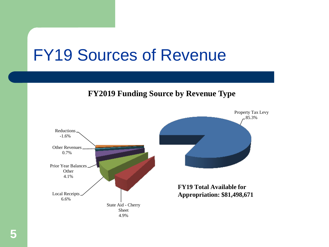#### FY19 Sources of Revenue

**FY2019 Funding Source by Revenue Type**

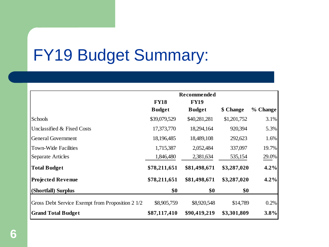### FY19 Budget Summary:

|                                                  | <b>Recommended</b> |               |             |          |  |  |
|--------------------------------------------------|--------------------|---------------|-------------|----------|--|--|
|                                                  | <b>FY18</b>        | <b>FY19</b>   |             |          |  |  |
|                                                  | <b>Budget</b>      | <b>Budget</b> | \$ Change   | % Change |  |  |
| Schools                                          | \$39,079,529       | \$40,281,281  | \$1,201,752 | 3.1%     |  |  |
| Unclassified & Fixed Costs                       | 17,373,770         | 18,294,164    | 920,394     | 5.3%     |  |  |
| <b>General Government</b>                        | 18,196,485         | 18,489,108    | 292,623     | 1.6%     |  |  |
| <b>Town-Wide Facilities</b>                      | 1,715,387          | 2,052,484     | 337,097     | 19.7%    |  |  |
| Separate Articles                                | 1,846,480          | 2,381,634     | 535,154     | 29.0%    |  |  |
| <b>Total Budget</b>                              | \$78,211,651       | \$81,498,671  | \$3,287,020 | 4.2%     |  |  |
| <b>Projected Revenue</b>                         | \$78,211,651       | \$81,498,671  | \$3,287,020 | 4.2%     |  |  |
| (Shortfall) Surplus                              | \$0                | \$0           | \$0         |          |  |  |
| Gross Debt Service Exempt from Proposition 2 1/2 | \$8,905,759        | \$8,920,548   | \$14,789    | 0.2%     |  |  |
| <b>Grand Total Budget</b>                        | \$87,117,410       | \$90,419,219  | \$3,301,809 | 3.8%     |  |  |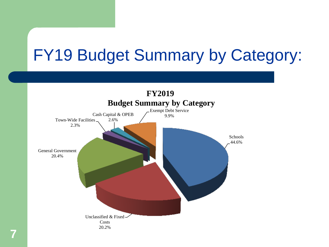### FY19 Budget Summary by Category:

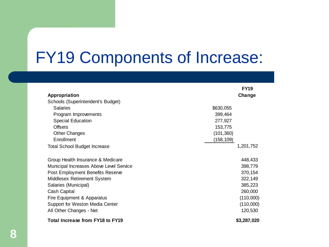#### FY19 Components of Increase:

|                                         | <b>FY19</b> |
|-----------------------------------------|-------------|
| Appropriation                           | Change      |
| Schools (Superintendent's Budget)       |             |
| <b>Salaries</b>                         | \$630,055   |
| Program Improvements                    | 399,464     |
| <b>Special Education</b>                | 277,927     |
| Offsets                                 | 153,775     |
| <b>Other Changes</b>                    | (101, 360)  |
| Enrollment                              | (158,109)   |
| <b>Total School Budget Increase</b>     | 1,201,752   |
| Group Health Insurance & Medicare       | 448,433     |
| Municipal Increases Above Level Service | 398,779     |
| Post Employment Benefits Reserve        | 370,154     |
| Middlesex Retirement System             | 322,149     |
| Salaries (Municipal)                    | 385,223     |
| Cash Capital                            | 260,000     |
| Fire Equipment & Apparatus              | (110,000)   |
| Support for Weston Media Center         | (110,000)   |
| All Other Changes - Net                 | 120,530     |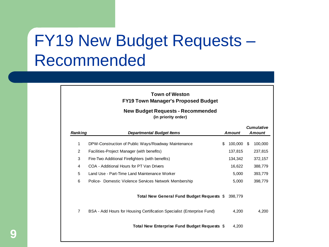#### FY19 New Budget Requests – Recommended

| <b>Town of Weston</b>                      |
|--------------------------------------------|
| <b>FY19 Town Manager's Proposed Budget</b> |

#### **(in priority order) New Budget Requests - Recommended**

| <b>Ranking</b> | Departmental Budget Items                                              |    | Amount  | <b>Cumulative</b><br>Amount |         |
|----------------|------------------------------------------------------------------------|----|---------|-----------------------------|---------|
| 1              | DPW-Construction of Public Ways/Roadway Maintenance                    | \$ | 100,000 | -SS                         | 100,000 |
| $\overline{2}$ | Facilities-Project Manager (with benefits)                             |    | 137,815 |                             | 237,815 |
| 3              | Fire-Two Additional Firefighters (with benefits)                       |    | 134,342 |                             | 372,157 |
| 4              | COA - Additional Hours for PT Van Drivers                              |    | 16,622  |                             | 388,779 |
| 5              | Land Use - Part-Time Land Maintenance Worker                           |    | 5,000   |                             | 393,779 |
| 6              | Police- Domestic Violence Services Network Membership                  |    | 5,000   |                             | 398,779 |
|                | Total New General Fund Budget Requests \$                              |    | 398,779 |                             |         |
| $\overline{7}$ | BSA - Add Hours for Housing Certification Specialist (Enterprise Fund) |    | 4,200   |                             | 4,200   |
|                | Total New Enterprise Fund Budget Requests \$                           |    | 4,200   |                             |         |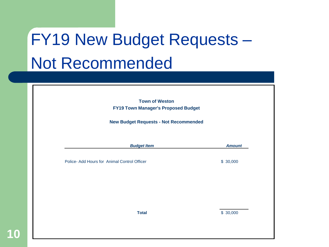# FY19 New Budget Requests – Not Recommended

| <b>Town of Weston</b><br><b>FY19 Town Manager's Proposed Budget</b> |               |
|---------------------------------------------------------------------|---------------|
| <b>New Budget Requests - Not Recommended</b>                        |               |
| <b>Budget Item</b>                                                  | <b>Amount</b> |
| Police- Add Hours for Animal Control Officer                        | \$30,000      |
|                                                                     |               |
|                                                                     |               |
| <b>Total</b>                                                        | \$30,000      |

**10**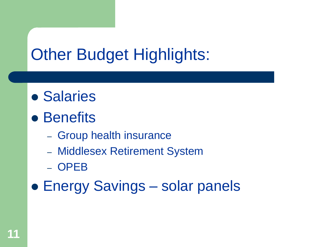### **Other Budget Highlights:**

- Salaries
- Benefits
	- Group health insurance
	- Middlesex Retirement System
	- OPEB
- Energy Savings solar panels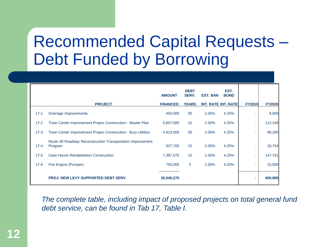#### Recommended Capital Requests – Debt Funded by Borrowing

|          |                                                                       | <b>AMOUNT</b>   | <b>DEBT</b><br>SERV. | <b>EST. BAN</b>            | EST.<br><b>BOND</b> |               |               |
|----------|-----------------------------------------------------------------------|-----------------|----------------------|----------------------------|---------------------|---------------|---------------|
|          | <b>PROJECT</b>                                                        | <b>FINANCED</b> | <b>YEARS</b>         | <b>INT. RATE INT. RATE</b> |                     | <b>FY2019</b> | <b>FY2020</b> |
| $17-1$   | Drainage Improvements                                                 | 450,000         | 30                   | 2.00%                      | 4.25%               |               | 9,000         |
| $17 - 2$ | Town Center Improvement Project Construction - Master Plan            | 5,607,000       | 15                   | 2.00%                      | 4.25%               | ٠             | 112,140       |
| $17-3$   | Town Center Improvement Project Construction - Bury Utilities         | 4,913,000       | 30                   | 2.00%                      | 4.25%               | ٠             | 98,260        |
| $17 - 4$ | Route 30 Roadway Reconstruction Transportation Improvement<br>Program | 937,700         | 15                   | 2.00%                      | 4.25%               |               | 18,754        |
| $17 - 5$ | <b>Case House Rehabilitation Construction</b>                         | 7,387,570       | 10                   | 2.00%                      | 4.25%               | ۰             | 147,751       |
| $17 - 6$ | Fire Engine (Pumper)                                                  | 750,000         | 5                    | 2.00%                      | 4.25%               | ٠             | 15,000        |
|          | <b>PROJ. NEW LEVY SUPPORTED DEBT SERV.</b>                            | 20,045,270      |                      |                            |                     | ٠             | 400,905       |

*The complete table, including impact of proposed projects on total general fund debt service, can be found in Tab 17, Table I.*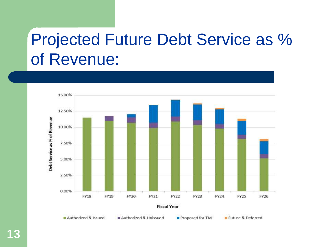### Projected Future Debt Service as % of Revenue:

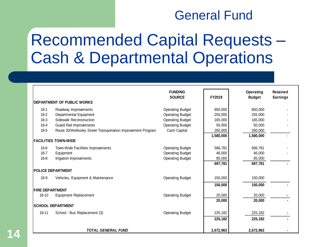#### General Fund

#### Recommended Capital Requests – Cash & Departmental Operations

|                        |                                                              | <b>FUNDING</b><br><b>SOURCE</b> | FY2019    | <b>Operating</b><br><b>Budget</b> | Retained<br><b>Earnings</b> |
|------------------------|--------------------------------------------------------------|---------------------------------|-----------|-----------------------------------|-----------------------------|
|                        | <b>DEPARTMENT OF PUBLIC WORKS</b>                            |                                 |           |                                   |                             |
| $18-1$                 | Roadway Improvements                                         | <b>Operating Budget</b>         | 850,000   | 850,000                           |                             |
| $18-2$                 | Departmental Equipment                                       | <b>Operating Budget</b>         | 255,000   | 255,000                           |                             |
| $18-3$                 | Sidewalk Reconstruction                                      | <b>Operating Budget</b>         | 165,000   | 165,000                           |                             |
| $18 - 4$               | <b>Guard Rail Improvements</b>                               | <b>Operating Budget</b>         | 50,000    | 50,000                            |                             |
| $18-5$                 | Route 20/Wellesley Street Transportation Improvement Program | Cash Capital                    | 260,000   | 260,000                           |                             |
|                        |                                                              |                                 | 1,580,000 | 1,580,000                         |                             |
|                        | <b>FACILITIES TOWN-WIDE</b>                                  |                                 |           |                                   |                             |
| $18-6$                 | Town-Wide Facilities Improvements                            | <b>Operating Budget</b>         | 566,781   | 566,781                           |                             |
| $18 - 7$               | Equipment                                                    | <b>Operating Budget</b>         | 46,000    | 46,000                            |                             |
| $18 - 8$               | Irrigation Improvements                                      | <b>Operating Budget</b>         | 85,000    | 85,000                            |                             |
|                        |                                                              |                                 | 697,781   | 697,781                           |                             |
|                        | <b>POLICE DEPARTMENT</b>                                     |                                 |           |                                   |                             |
| $18-9$                 | Vehicles, Equipment & Maintenance                            | <b>Operating Budget</b>         | 150,000   | 150,000                           |                             |
|                        |                                                              |                                 | 150,000   | 150,000                           |                             |
| <b>FIRE DEPARTMENT</b> |                                                              |                                 |           |                                   |                             |
| $18 - 10$              | <b>Equipment Replacement</b>                                 | <b>Operating Budget</b>         | 20,000    | 20,000                            |                             |
|                        |                                                              |                                 | 20,000    | 20,000                            |                             |
|                        | <b>SCHOOL DEPARTMENT</b>                                     |                                 |           |                                   |                             |
| $18 - 11$              | School - Bus Replacement (3)                                 | <b>Operating Budget</b>         | 225,182   | 225,182                           |                             |
|                        |                                                              |                                 | 225,182   | 225,182                           |                             |
|                        | <b>TOTAL GENERAL FUND</b>                                    |                                 | 2,672,963 | 2,672,963                         |                             |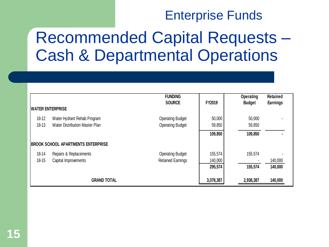#### Enterprise Funds

#### Recommended Capital Requests – Cash & Departmental Operations

|                         |                                     | <b>FUNDING</b>           |           | <b>Operating</b> | <b>Retained</b> |
|-------------------------|-------------------------------------|--------------------------|-----------|------------------|-----------------|
| <b>WATER ENTERPRISE</b> |                                     | <b>SOURCE</b>            | FY2019    | <b>Budget</b>    | Earnings        |
| 18-12                   | Water Hydrant Rehab Program         | <b>Operating Budget</b>  | 50,000    | 50,000           |                 |
| $18-13$                 | Water Distribution Master Plan      | <b>Operating Budget</b>  | 59,850    | 59,850           |                 |
|                         |                                     |                          | 109,850   | 109,850          |                 |
|                         | IBROOK SCHOOL APARTMENTS ENTERPRISE |                          |           |                  |                 |
| 18-14                   | Repairs & Replacements              | <b>Operating Budget</b>  | 155,574   | 155,574          |                 |
| $18 - 15$               | Capital Improvements                | <b>Retained Earnings</b> | 140,000   |                  | 140,000         |
|                         |                                     |                          | 295,574   | 155,574          | 140,000         |
|                         | <b>GRAND TOTAL</b>                  |                          | 3,078,387 | 2,938,387        | 140,000         |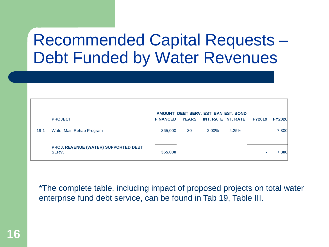#### Recommended Capital Requests – Debt Funded by Water Revenues

|        | <b>PROJECT</b>                                              | <b>FINANCED</b> | <b>YEARS</b> |       | AMOUNT DEBT SERV. EST. BAN EST. BOND<br>INT. RATE INT. RATE | <b>FY2019</b> | <b>FY2020</b> |
|--------|-------------------------------------------------------------|-----------------|--------------|-------|-------------------------------------------------------------|---------------|---------------|
| $19-1$ | Water Main Rehab Program                                    | 365,000         | 30           | 2.00% | 4.25%                                                       |               | 7,300         |
|        | <b>PROJ. REVENUE (WATER) SUPPORTED DEBT</b><br><b>SERV.</b> | 365,000         |              |       |                                                             |               | 7,300         |

\*The complete table, including impact of proposed projects on total water enterprise fund debt service, can be found in Tab 19, Table III.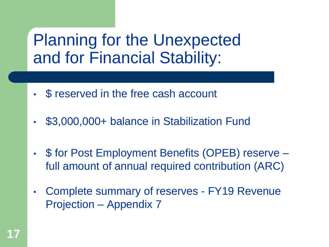#### Planning for the Unexpected and for Financial Stability:

- \$ reserved in the free cash account
- \$3,000,000+ balance in Stabilization Fund
- \$ for Post Employment Benefits (OPEB) reserve full amount of annual required contribution (ARC)
- Complete summary of reserves FY19 Revenue Projection – Appendix 7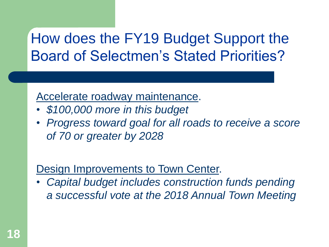#### How does the FY19 Budget Support the Board of Selectmen's Stated Priorities?

#### Accelerate roadway maintenance.

- *\$100,000 more in this budget*
- *Progress toward goal for all roads to receive a score of 70 or greater by 2028*

#### Design Improvements to Town Center.

• *Capital budget includes construction funds pending a successful vote at the 2018 Annual Town Meeting*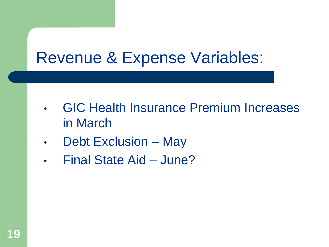#### Revenue & Expense Variables:

- GIC Health Insurance Premium Increases in March
- Debt Exclusion May
- Final State Aid June?